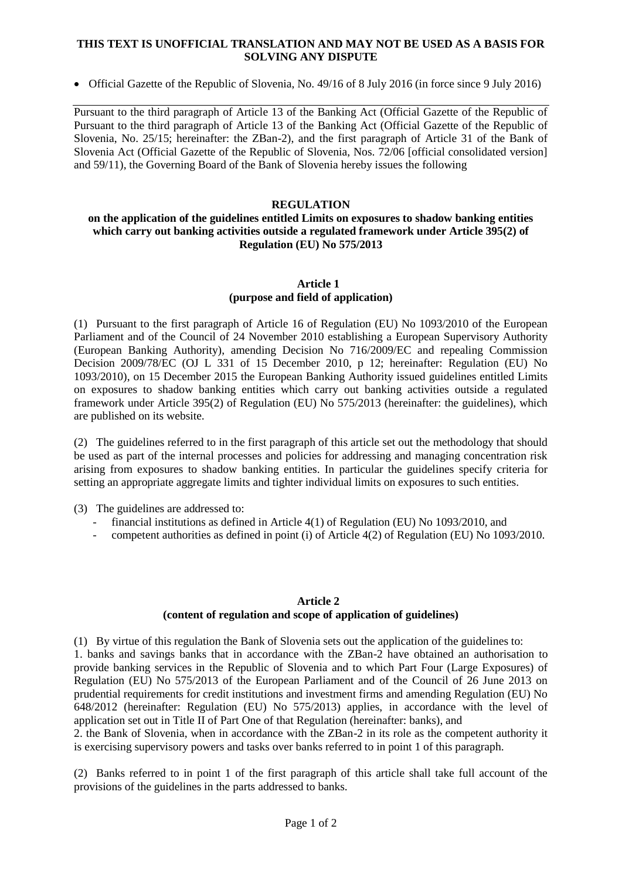#### **THIS TEXT IS UNOFFICIAL TRANSLATION AND MAY NOT BE USED AS A BASIS FOR SOLVING ANY DISPUTE**

Official Gazette of the Republic of Slovenia, No. 49/16 of 8 July 2016 (in force since 9 July 2016)

Pursuant to the third paragraph of Article 13 of the Banking Act (Official Gazette of the Republic of Pursuant to the third paragraph of Article 13 of the Banking Act (Official Gazette of the Republic of Slovenia, No. 25/15; hereinafter: the ZBan-2), and the first paragraph of Article 31 of the Bank of Slovenia Act (Official Gazette of the Republic of Slovenia, Nos. 72/06 [official consolidated version] and 59/11), the Governing Board of the Bank of Slovenia hereby issues the following

# **REGULATION**

### **on the application of the guidelines entitled Limits on exposures to shadow banking entities which carry out banking activities outside a regulated framework under Article 395(2) of Regulation (EU) No 575/2013**

### **Article 1 (purpose and field of application)**

(1) Pursuant to the first paragraph of Article 16 of Regulation (EU) No 1093/2010 of the European Parliament and of the Council of 24 November 2010 establishing a European Supervisory Authority (European Banking Authority), amending Decision No 716/2009/EC and repealing Commission Decision 2009/78/EC (OJ L 331 of 15 December 2010, p 12; hereinafter: Regulation (EU) No 1093/2010), on 15 December 2015 the European Banking Authority issued guidelines entitled Limits on exposures to shadow banking entities which carry out banking activities outside a regulated framework under Article 395(2) of Regulation (EU) No 575/2013 (hereinafter: the guidelines), which are published on its website.

(2) The guidelines referred to in the first paragraph of this article set out the methodology that should be used as part of the internal processes and policies for addressing and managing concentration risk arising from exposures to shadow banking entities. In particular the guidelines specify criteria for setting an appropriate aggregate limits and tighter individual limits on exposures to such entities.

(3) The guidelines are addressed to:

- financial institutions as defined in Article 4(1) of Regulation (EU) No 1093/2010, and
- competent authorities as defined in point (i) of Article 4(2) of Regulation (EU) No 1093/2010.

# **Article 2 (content of regulation and scope of application of guidelines)**

(1) By virtue of this regulation the Bank of Slovenia sets out the application of the guidelines to: 1. banks and savings banks that in accordance with the ZBan-2 have obtained an authorisation to provide banking services in the Republic of Slovenia and to which Part Four (Large Exposures) of Regulation (EU) No 575/2013 of the European Parliament and of the Council of 26 June 2013 on prudential requirements for credit institutions and investment firms and amending Regulation (EU) No 648/2012 (hereinafter: Regulation (EU) No 575/2013) applies, in accordance with the level of application set out in Title II of Part One of that Regulation (hereinafter: banks), and

2. the Bank of Slovenia, when in accordance with the ZBan-2 in its role as the competent authority it is exercising supervisory powers and tasks over banks referred to in point 1 of this paragraph.

(2) Banks referred to in point 1 of the first paragraph of this article shall take full account of the provisions of the guidelines in the parts addressed to banks.